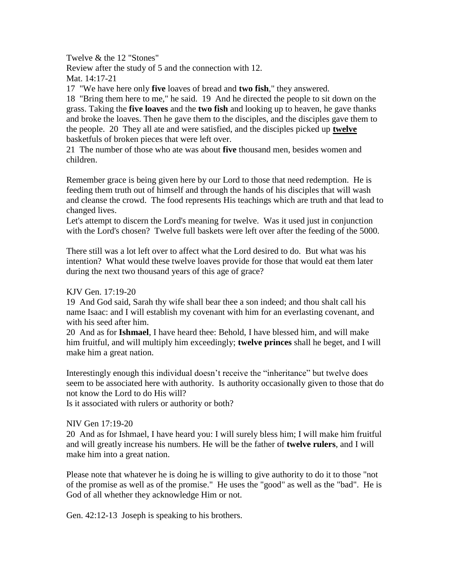Twelve & the 12 "Stones"

Review after the study of 5 and the connection with 12. Mat. 14:17-21

17 "We have here only **five** loaves of bread and **two fish**," they answered.

18 "Bring them here to me," he said. 19 And he directed the people to sit down on the grass. Taking the **five loaves** and the **two fish** and looking up to heaven, he gave thanks and broke the loaves. Then he gave them to the disciples, and the disciples gave them to the people. 20 They all ate and were satisfied, and the disciples picked up **twelve** basketfuls of broken pieces that were left over.

21 The number of those who ate was about **five** thousand men, besides women and children.

Remember grace is being given here by our Lord to those that need redemption. He is feeding them truth out of himself and through the hands of his disciples that will wash and cleanse the crowd. The food represents His teachings which are truth and that lead to changed lives.

Let's attempt to discern the Lord's meaning for twelve. Was it used just in conjunction with the Lord's chosen? Twelve full baskets were left over after the feeding of the 5000.

There still was a lot left over to affect what the Lord desired to do. But what was his intention? What would these twelve loaves provide for those that would eat them later during the next two thousand years of this age of grace?

## KJV Gen. 17:19-20

19 And God said, Sarah thy wife shall bear thee a son indeed; and thou shalt call his name Isaac: and I will establish my covenant with him for an everlasting covenant, and with his seed after him.

20 And as for **Ishmael**, I have heard thee: Behold, I have blessed him, and will make him fruitful, and will multiply him exceedingly; **twelve princes** shall he beget, and I will make him a great nation.

Interestingly enough this individual doesn't receive the "inheritance" but twelve does seem to be associated here with authority. Is authority occasionally given to those that do not know the Lord to do His will?

Is it associated with rulers or authority or both?

## NIV Gen 17:19-20

20 And as for Ishmael, I have heard you: I will surely bless him; I will make him fruitful and will greatly increase his numbers. He will be the father of **twelve rulers**, and I will make him into a great nation.

Please note that whatever he is doing he is willing to give authority to do it to those "not of the promise as well as of the promise." He uses the "good" as well as the "bad". He is God of all whether they acknowledge Him or not.

Gen. 42:12-13 Joseph is speaking to his brothers.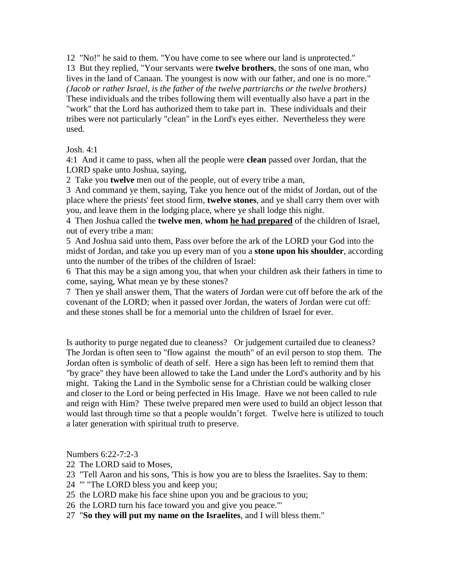12 "No!" he said to them. "You have come to see where our land is unprotected." 13 But they replied, "Your servants were **twelve brothers**, the sons of one man, who lives in the land of Canaan. The youngest is now with our father, and one is no more." *(Jacob or rather Israel, is the father of the twelve partriarchs or the twelve brothers)* These individuals and the tribes following them will eventually also have a part in the "work" that the Lord has authorized them to take part in. These individuals and their tribes were not particularly "clean" in the Lord's eyes either. Nevertheless they were used.

Josh. 4:1

4:1 And it came to pass, when all the people were **clean** passed over Jordan, that the LORD spake unto Joshua, saying,

2 Take you **twelve** men out of the people, out of every tribe a man,

3 And command ye them, saying, Take you hence out of the midst of Jordan, out of the place where the priests' feet stood firm, **twelve stones**, and ye shall carry them over with you, and leave them in the lodging place, where ye shall lodge this night.

4 Then Joshua called the **twelve men**, **whom he had prepared** of the children of Israel, out of every tribe a man:

5 And Joshua said unto them, Pass over before the ark of the LORD your God into the midst of Jordan, and take you up every man of you a **stone upon his shoulder**, according unto the number of the tribes of the children of Israel:

6 That this may be a sign among you, that when your children ask their fathers in time to come, saying, What mean ye by these stones?

7 Then ye shall answer them, That the waters of Jordan were cut off before the ark of the covenant of the LORD; when it passed over Jordan, the waters of Jordan were cut off: and these stones shall be for a memorial unto the children of Israel for ever.

Is authority to purge negated due to cleaness? Or judgement curtailed due to cleaness? The Jordan is often seen to "flow against the mouth" of an evil person to stop them. The Jordan often is symbolic of death of self. Here a sign has been left to remind them that "by grace" they have been allowed to take the Land under the Lord's authority and by his might. Taking the Land in the Symbolic sense for a Christian could be walking closer and closer to the Lord or being perfected in His Image. Have we not been called to rule and reign with Him? These twelve prepared men were used to build an object lesson that would last through time so that a people wouldn't forget. Twelve here is utilized to touch a later generation with spiritual truth to preserve.

Numbers 6:22-7:2-3

- 22 The LORD said to Moses,
- 23 "Tell Aaron and his sons, 'This is how you are to bless the Israelites. Say to them:
- 24 "' "The LORD bless you and keep you;
- 25 the LORD make his face shine upon you and be gracious to you;
- 26 the LORD turn his face toward you and give you peace."'
- 27 "**So they will put my name on the Israelites**, and I will bless them."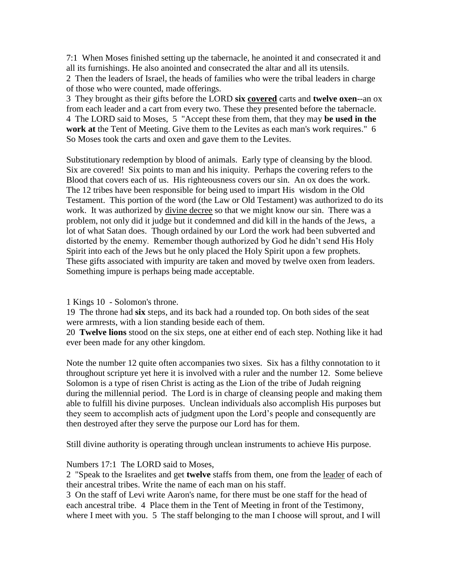7:1 When Moses finished setting up the tabernacle, he anointed it and consecrated it and all its furnishings. He also anointed and consecrated the altar and all its utensils.

2 Then the leaders of Israel, the heads of families who were the tribal leaders in charge of those who were counted, made offerings.

3 They brought as their gifts before the LORD **six covered** carts and **twelve oxen**--an ox from each leader and a cart from every two. These they presented before the tabernacle. 4 The LORD said to Moses, 5 "Accept these from them, that they may **be used in the work at** the Tent of Meeting. Give them to the Levites as each man's work requires." 6 So Moses took the carts and oxen and gave them to the Levites.

Substitutionary redemption by blood of animals. Early type of cleansing by the blood. Six are covered! Six points to man and his iniquity. Perhaps the covering refers to the Blood that covers each of us. His righteousness covers our sin. An ox does the work. The 12 tribes have been responsible for being used to impart His wisdom in the Old Testament. This portion of the word (the Law or Old Testament) was authorized to do its work. It was authorized by divine decree so that we might know our sin. There was a problem, not only did it judge but it condemned and did kill in the hands of the Jews, a lot of what Satan does. Though ordained by our Lord the work had been subverted and distorted by the enemy. Remember though authorized by God he didn't send His Holy Spirit into each of the Jews but he only placed the Holy Spirit upon a few prophets. These gifts associated with impurity are taken and moved by twelve oxen from leaders. Something impure is perhaps being made acceptable.

## 1 Kings 10 - Solomon's throne.

19 The throne had **six** steps, and its back had a rounded top. On both sides of the seat were armrests, with a lion standing beside each of them.

20 **Twelve lions** stood on the six steps, one at either end of each step. Nothing like it had ever been made for any other kingdom.

Note the number 12 quite often accompanies two sixes. Six has a filthy connotation to it throughout scripture yet here it is involved with a ruler and the number 12. Some believe Solomon is a type of risen Christ is acting as the Lion of the tribe of Judah reigning during the millennial period. The Lord is in charge of cleansing people and making them able to fulfill his divine purposes. Unclean individuals also accomplish His purposes but they seem to accomplish acts of judgment upon the Lord's people and consequently are then destroyed after they serve the purpose our Lord has for them.

Still divine authority is operating through unclean instruments to achieve His purpose.

## Numbers 17:1 The LORD said to Moses,

2 "Speak to the Israelites and get **twelve** staffs from them, one from the leader of each of their ancestral tribes. Write the name of each man on his staff.

3 On the staff of Levi write Aaron's name, for there must be one staff for the head of each ancestral tribe. 4 Place them in the Tent of Meeting in front of the Testimony, where I meet with you. 5 The staff belonging to the man I choose will sprout, and I will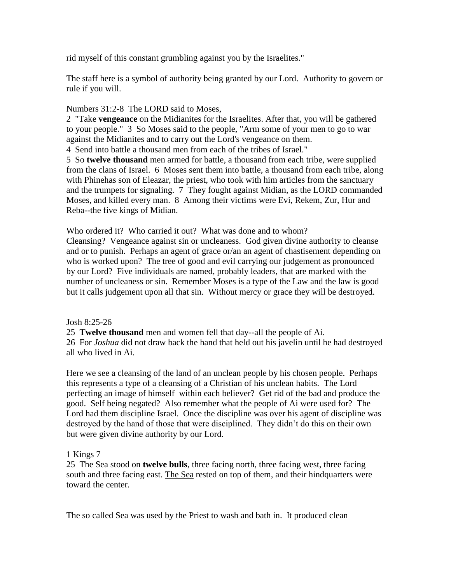rid myself of this constant grumbling against you by the Israelites."

The staff here is a symbol of authority being granted by our Lord. Authority to govern or rule if you will.

## Numbers 31:2-8 The LORD said to Moses,

2 "Take **vengeance** on the Midianites for the Israelites. After that, you will be gathered to your people." 3 So Moses said to the people, "Arm some of your men to go to war against the Midianites and to carry out the Lord's vengeance on them.

4 Send into battle a thousand men from each of the tribes of Israel."

5 So **twelve thousand** men armed for battle, a thousand from each tribe, were supplied from the clans of Israel. 6 Moses sent them into battle, a thousand from each tribe, along with Phinehas son of Eleazar, the priest, who took with him articles from the sanctuary and the trumpets for signaling. 7 They fought against Midian, as the LORD commanded Moses, and killed every man. 8 Among their victims were Evi, Rekem, Zur, Hur and Reba--the five kings of Midian.

Who ordered it? Who carried it out? What was done and to whom?

Cleansing? Vengeance against sin or uncleaness. God given divine authority to cleanse and or to punish. Perhaps an agent of grace or/an an agent of chastisement depending on who is worked upon? The tree of good and evil carrying our judgement as pronounced by our Lord? Five individuals are named, probably leaders, that are marked with the number of uncleaness or sin. Remember Moses is a type of the Law and the law is good but it calls judgement upon all that sin. Without mercy or grace they will be destroyed.

Josh 8:25-26

25 **Twelve thousand** men and women fell that day--all the people of Ai.

26 For *Joshua* did not draw back the hand that held out his javelin until he had destroyed all who lived in Ai.

Here we see a cleansing of the land of an unclean people by his chosen people. Perhaps this represents a type of a cleansing of a Christian of his unclean habits. The Lord perfecting an image of himself within each believer? Get rid of the bad and produce the good. Self being negated? Also remember what the people of Ai were used for? The Lord had them discipline Israel. Once the discipline was over his agent of discipline was destroyed by the hand of those that were disciplined. They didn't do this on their own but were given divine authority by our Lord.

# 1 Kings 7

25 The Sea stood on **twelve bulls**, three facing north, three facing west, three facing south and three facing east. The Sea rested on top of them, and their hindquarters were toward the center.

The so called Sea was used by the Priest to wash and bath in. It produced clean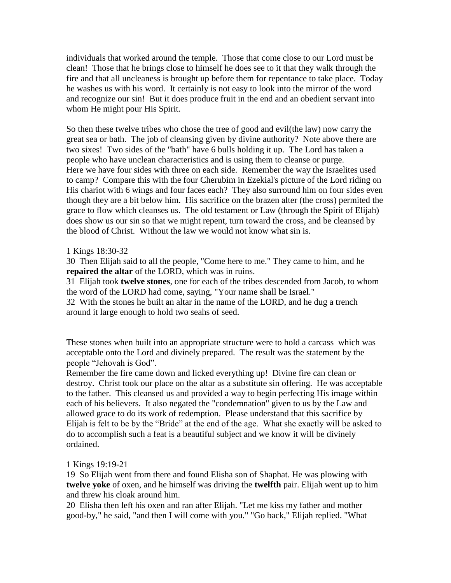individuals that worked around the temple. Those that come close to our Lord must be clean! Those that he brings close to himself he does see to it that they walk through the fire and that all uncleaness is brought up before them for repentance to take place. Today he washes us with his word. It certainly is not easy to look into the mirror of the word and recognize our sin! But it does produce fruit in the end and an obedient servant into whom He might pour His Spirit.

So then these twelve tribes who chose the tree of good and evil(the law) now carry the great sea or bath. The job of cleansing given by divine authority? Note above there are two sixes! Two sides of the "bath" have 6 bulls holding it up. The Lord has taken a people who have unclean characteristics and is using them to cleanse or purge. Here we have four sides with three on each side. Remember the way the Israelites used to camp? Compare this with the four Cherubim in Ezekial's picture of the Lord riding on His chariot with 6 wings and four faces each? They also surround him on four sides even though they are a bit below him. His sacrifice on the brazen alter (the cross) permited the grace to flow which cleanses us. The old testament or Law (through the Spirit of Elijah) does show us our sin so that we might repent, turn toward the cross, and be cleansed by the blood of Christ. Without the law we would not know what sin is.

## 1 Kings 18:30-32

30 Then Elijah said to all the people, "Come here to me." They came to him, and he **repaired the altar** of the LORD, which was in ruins.

31 Elijah took **twelve stones**, one for each of the tribes descended from Jacob, to whom the word of the LORD had come, saying, "Your name shall be Israel."

32 With the stones he built an altar in the name of the LORD, and he dug a trench around it large enough to hold two seahs of seed.

These stones when built into an appropriate structure were to hold a carcass which was acceptable onto the Lord and divinely prepared. The result was the statement by the people "Jehovah is God".

Remember the fire came down and licked everything up! Divine fire can clean or destroy. Christ took our place on the altar as a substitute sin offering. He was acceptable to the father. This cleansed us and provided a way to begin perfecting His image within each of his believers. It also negated the "condemnation" given to us by the Law and allowed grace to do its work of redemption. Please understand that this sacrifice by Elijah is felt to be by the "Bride" at the end of the age. What she exactly will be asked to do to accomplish such a feat is a beautiful subject and we know it will be divinely ordained.

## 1 Kings 19:19-21

19 So Elijah went from there and found Elisha son of Shaphat. He was plowing with **twelve yoke** of oxen, and he himself was driving the **twelfth** pair. Elijah went up to him and threw his cloak around him.

20 Elisha then left his oxen and ran after Elijah. "Let me kiss my father and mother good-by," he said, "and then I will come with you." "Go back," Elijah replied. "What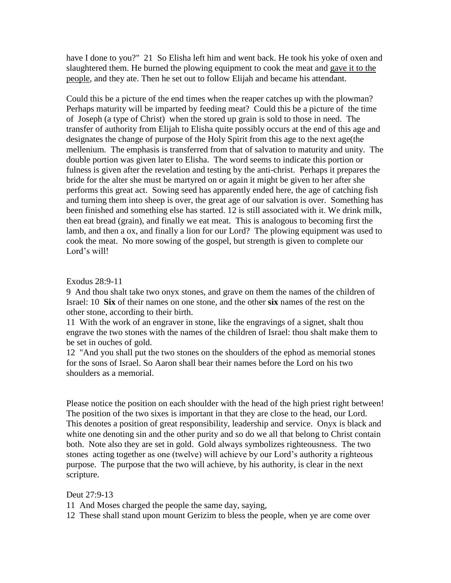have I done to you?" 21 So Elisha left him and went back. He took his yoke of oxen and slaughtered them. He burned the plowing equipment to cook the meat and gave it to the people, and they ate. Then he set out to follow Elijah and became his attendant.

Could this be a picture of the end times when the reaper catches up with the plowman? Perhaps maturity will be imparted by feeding meat? Could this be a picture of the time of Joseph (a type of Christ) when the stored up grain is sold to those in need. The transfer of authority from Elijah to Elisha quite possibly occurs at the end of this age and designates the change of purpose of the Holy Spirit from this age to the next age(the mellenium. The emphasis is transferred from that of salvation to maturity and unity. The double portion was given later to Elisha. The word seems to indicate this portion or fulness is given after the revelation and testing by the anti-christ. Perhaps it prepares the bride for the alter she must be martyred on or again it might be given to her after she performs this great act. Sowing seed has apparently ended here, the age of catching fish and turning them into sheep is over, the great age of our salvation is over. Something has been finished and something else has started. 12 is still associated with it. We drink milk, then eat bread (grain), and finally we eat meat. This is analogous to becoming first the lamb, and then a ox, and finally a lion for our Lord? The plowing equipment was used to cook the meat. No more sowing of the gospel, but strength is given to complete our Lord's will!

#### Exodus 28:9-11

9 And thou shalt take two onyx stones, and grave on them the names of the children of Israel: 10 **Six** of their names on one stone, and the other **six** names of the rest on the other stone, according to their birth.

11 With the work of an engraver in stone, like the engravings of a signet, shalt thou engrave the two stones with the names of the children of Israel: thou shalt make them to be set in ouches of gold.

12 "And you shall put the two stones on the shoulders of the ephod as memorial stones for the sons of Israel. So Aaron shall bear their names before the Lord on his two shoulders as a memorial.

Please notice the position on each shoulder with the head of the high priest right between! The position of the two sixes is important in that they are close to the head, our Lord. This denotes a position of great responsibility, leadership and service. Onyx is black and white one denoting sin and the other purity and so do we all that belong to Christ contain both. Note also they are set in gold. Gold always symbolizes righteousness. The two stones acting together as one (twelve) will achieve by our Lord's authority a righteous purpose. The purpose that the two will achieve, by his authority, is clear in the next scripture.

## Deut 27:9-13

11 And Moses charged the people the same day, saying,

12 These shall stand upon mount Gerizim to bless the people, when ye are come over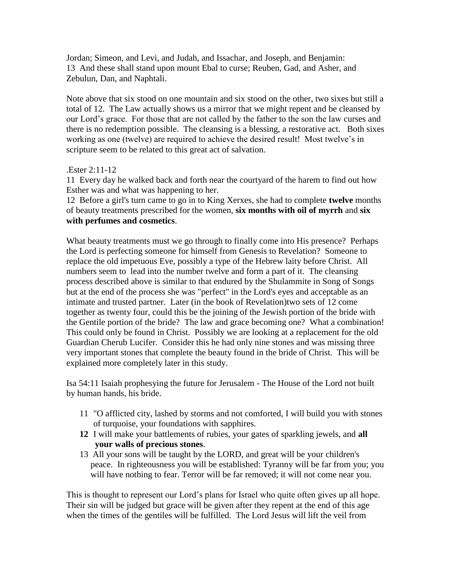Jordan; Simeon, and Levi, and Judah, and Issachar, and Joseph, and Benjamin: 13 And these shall stand upon mount Ebal to curse; Reuben, Gad, and Asher, and Zebulun, Dan, and Naphtali.

Note above that six stood on one mountain and six stood on the other, two sixes but still a total of 12. The Law actually shows us a mirror that we might repent and be cleansed by our Lord's grace. For those that are not called by the father to the son the law curses and there is no redemption possible. The cleansing is a blessing, a restorative act. Both sixes working as one (twelve) are required to achieve the desired result! Most twelve's in scripture seem to be related to this great act of salvation.

## .Ester 2:11-12

11 Every day he walked back and forth near the courtyard of the harem to find out how Esther was and what was happening to her.

12 Before a girl's turn came to go in to King Xerxes, she had to complete **twelve** months of beauty treatments prescribed for the women, **six months with oil of myrrh** and **six with perfumes and cosmetics**.

What beauty treatments must we go through to finally come into His presence? Perhaps the Lord is perfecting someone for himself from Genesis to Revelation? Someone to replace the old impetuous Eve, possibly a type of the Hebrew laity before Christ. All numbers seem to lead into the number twelve and form a part of it. The cleansing process described above is similar to that endured by the Shulammite in Song of Songs but at the end of the process she was "perfect" in the Lord's eyes and acceptable as an intimate and trusted partner. Later (in the book of Revelation)two sets of 12 come together as twenty four, could this be the joining of the Jewish portion of the bride with the Gentile portion of the bride? The law and grace becoming one? What a combination! This could only be found in Christ. Possibly we are looking at a replacement for the old Guardian Cherub Lucifer. Consider this he had only nine stones and was missing three very important stones that complete the beauty found in the bride of Christ. This will be explained more completely later in this study.

Isa 54:11 Isaiah prophesying the future for Jerusalem - The House of the Lord not built by human hands, his bride.

- 11 "O afflicted city, lashed by storms and not comforted, I will build you with stones of turquoise, your foundations with sapphires.
- **12** I will make your battlements of rubies, your gates of sparkling jewels, and **all your walls of precious stones**.
- 13 All your sons will be taught by the LORD, and great will be your children's peace. In righteousness you will be established: Tyranny will be far from you; you will have nothing to fear. Terror will be far removed; it will not come near you.

This is thought to represent our Lord's plans for Israel who quite often gives up all hope. Their sin will be judged but grace will be given after they repent at the end of this age when the times of the gentiles will be fulfilled. The Lord Jesus will lift the veil from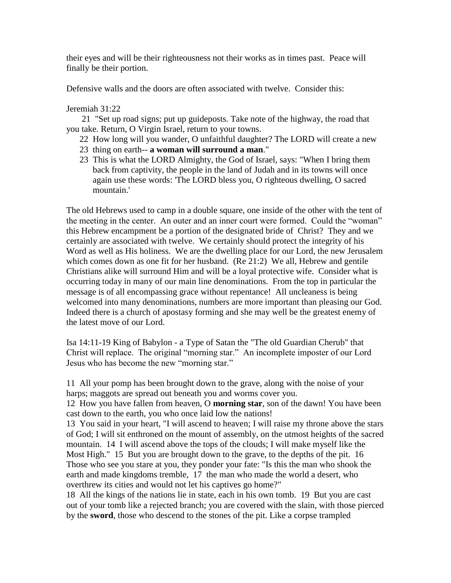their eyes and will be their righteousness not their works as in times past. Peace will finally be their portion.

Defensive walls and the doors are often associated with twelve. Consider this:

## Jeremiah 31:22

 21 "Set up road signs; put up guideposts. Take note of the highway, the road that you take. Return, O Virgin Israel, return to your towns.

- 22 How long will you wander, O unfaithful daughter? The LORD will create a new
- 23 thing on earth-- **a woman will surround a man**."
- 23 This is what the LORD Almighty, the God of Israel, says: "When I bring them back from captivity, the people in the land of Judah and in its towns will once again use these words: 'The LORD bless you, O righteous dwelling, O sacred mountain.'

The old Hebrews used to camp in a double square, one inside of the other with the tent of the meeting in the center. An outer and an inner court were formed. Could the "woman" this Hebrew encampment be a portion of the designated bride of Christ? They and we certainly are associated with twelve. We certainly should protect the integrity of his Word as well as His holiness. We are the dwelling place for our Lord, the new Jerusalem which comes down as one fit for her husband. (Re 21:2) We all, Hebrew and gentile Christians alike will surround Him and will be a loyal protective wife. Consider what is occurring today in many of our main line denominations. From the top in particular the message is of all encompassing grace without repentance! All uncleaness is being welcomed into many denominations, numbers are more important than pleasing our God. Indeed there is a church of apostasy forming and she may well be the greatest enemy of the latest move of our Lord.

Isa 14:11-19 King of Babylon - a Type of Satan the "The old Guardian Cherub" that Christ will replace. The original "morning star." An incomplete imposter of our Lord Jesus who has become the new "morning star."

11 All your pomp has been brought down to the grave, along with the noise of your harps; maggots are spread out beneath you and worms cover you.

12 How you have fallen from heaven, O **morning star**, son of the dawn! You have been cast down to the earth, you who once laid low the nations!

13 You said in your heart, "I will ascend to heaven; I will raise my throne above the stars of God; I will sit enthroned on the mount of assembly, on the utmost heights of the sacred mountain. 14 I will ascend above the tops of the clouds; I will make myself like the Most High." 15 But you are brought down to the grave, to the depths of the pit. 16 Those who see you stare at you, they ponder your fate: "Is this the man who shook the earth and made kingdoms tremble, 17 the man who made the world a desert, who overthrew its cities and would not let his captives go home?"

18 All the kings of the nations lie in state, each in his own tomb. 19 But you are cast out of your tomb like a rejected branch; you are covered with the slain, with those pierced by the **sword**, those who descend to the stones of the pit. Like a corpse trampled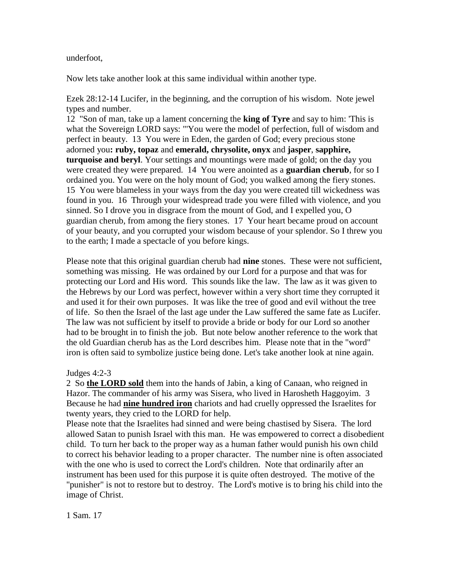underfoot,

Now lets take another look at this same individual within another type.

Ezek 28:12-14 Lucifer, in the beginning, and the corruption of his wisdom. Note jewel types and number.

12 "Son of man, take up a lament concerning the **king of Tyre** and say to him: 'This is what the Sovereign LORD says: "'You were the model of perfection, full of wisdom and perfect in beauty. 13 You were in Eden, the garden of God; every precious stone adorned you**: ruby, topaz** and **emerald, chrysolite, onyx** and **jasper**, **sapphire, turquoise and beryl**. Your settings and mountings were made of gold; on the day you were created they were prepared. 14 You were anointed as a **guardian cherub**, for so I ordained you. You were on the holy mount of God; you walked among the fiery stones. 15 You were blameless in your ways from the day you were created till wickedness was found in you. 16 Through your widespread trade you were filled with violence, and you sinned. So I drove you in disgrace from the mount of God, and I expelled you, O guardian cherub, from among the fiery stones. 17 Your heart became proud on account of your beauty, and you corrupted your wisdom because of your splendor. So I threw you to the earth; I made a spectacle of you before kings.

Please note that this original guardian cherub had **nine** stones. These were not sufficient, something was missing. He was ordained by our Lord for a purpose and that was for protecting our Lord and His word. This sounds like the law. The law as it was given to the Hebrews by our Lord was perfect, however within a very short time they corrupted it and used it for their own purposes. It was like the tree of good and evil without the tree of life. So then the Israel of the last age under the Law suffered the same fate as Lucifer. The law was not sufficient by itself to provide a bride or body for our Lord so another had to be brought in to finish the job. But note below another reference to the work that the old Guardian cherub has as the Lord describes him. Please note that in the "word" iron is often said to symbolize justice being done. Let's take another look at nine again.

Judges 4:2-3

2 So **the LORD sold** them into the hands of Jabin, a king of Canaan, who reigned in Hazor. The commander of his army was Sisera, who lived in Harosheth Haggoyim. 3 Because he had **nine hundred iron** chariots and had cruelly oppressed the Israelites for twenty years, they cried to the LORD for help.

Please note that the Israelites had sinned and were being chastised by Sisera. The lord allowed Satan to punish Israel with this man. He was empowered to correct a disobedient child. To turn her back to the proper way as a human father would punish his own child to correct his behavior leading to a proper character. The number nine is often associated with the one who is used to correct the Lord's children. Note that ordinarily after an instrument has been used for this purpose it is quite often destroyed. The motive of the "punisher" is not to restore but to destroy. The Lord's motive is to bring his child into the image of Christ.

1 Sam. 17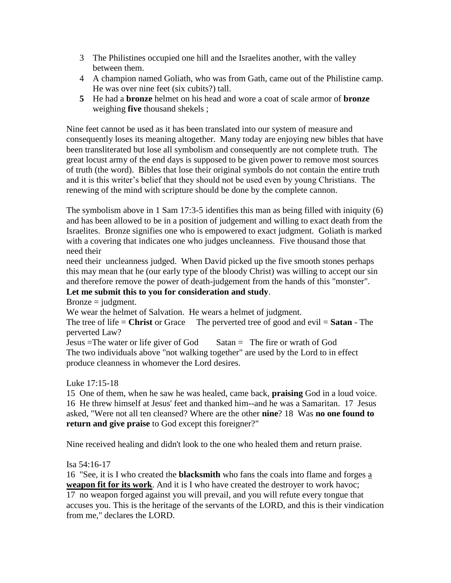- 3 The Philistines occupied one hill and the Israelites another, with the valley between them.
- 4 A champion named Goliath, who was from Gath, came out of the Philistine camp. He was over nine feet (six cubits?) tall.
- **5** He had a **bronze** helmet on his head and wore a coat of scale armor of **bronze** weighing **five** thousand shekels ;

Nine feet cannot be used as it has been translated into our system of measure and consequently loses its meaning altogether. Many today are enjoying new bibles that have been transliterated but lose all symbolism and consequently are not complete truth. The great locust army of the end days is supposed to be given power to remove most sources of truth (the word). Bibles that lose their original symbols do not contain the entire truth and it is this writer's belief that they should not be used even by young Christians. The renewing of the mind with scripture should be done by the complete cannon.

The symbolism above in 1 Sam 17:3-5 identifies this man as being filled with iniquity (6) and has been allowed to be in a position of judgement and willing to exact death from the Israelites. Bronze signifies one who is empowered to exact judgment. Goliath is marked with a covering that indicates one who judges uncleanness. Five thousand those that need their

need their uncleanness judged. When David picked up the five smooth stones perhaps this may mean that he (our early type of the bloody Christ) was willing to accept our sin and therefore remove the power of death-judgement from the hands of this "monster".

# **Let me submit this to you for consideration and study**.

 $Bronze = judgment.$ 

We wear the helmet of Salvation. He wears a helmet of judgment.

The tree of life = **Christ** or Grace The perverted tree of good and evil = **Satan** - The perverted Law?

Jesus =The water or life giver of God Satan = The fire or wrath of God The two individuals above "not walking together" are used by the Lord to in effect produce cleanness in whomever the Lord desires.

Luke 17:15-18

15 One of them, when he saw he was healed, came back, **praising** God in a loud voice. 16 He threw himself at Jesus' feet and thanked him--and he was a Samaritan. 17 Jesus asked, "Were not all ten cleansed? Where are the other **nine**? 18 Was **no one found to return and give praise** to God except this foreigner?"

Nine received healing and didn't look to the one who healed them and return praise.

Isa 54:16-17

16 "See, it is I who created the **blacksmith** who fans the coals into flame and forges a **weapon fit for its work**. And it is I who have created the destroyer to work havoc; 17 no weapon forged against you will prevail, and you will refute every tongue that accuses you. This is the heritage of the servants of the LORD, and this is their vindication from me," declares the LORD.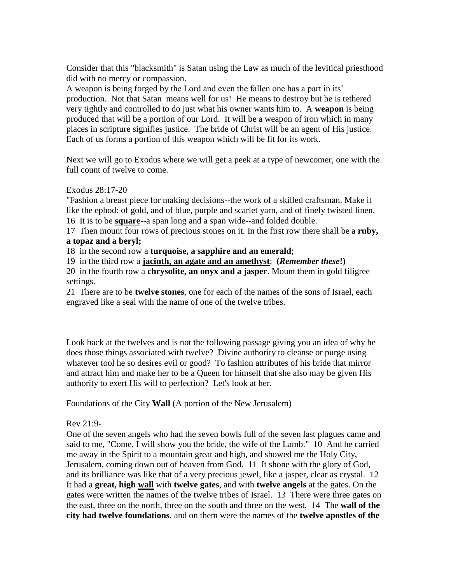Consider that this "blacksmith" is Satan using the Law as much of the levitical priesthood did with no mercy or compassion.

A weapon is being forged by the Lord and even the fallen one has a part in its' production. Not that Satan means well for us! He means to destroy but he is tethered very tightly and controlled to do just what his owner wants him to. A **weapon** is being produced that will be a portion of our Lord. It will be a weapon of iron which in many places in scripture signifies justice. The bride of Christ will be an agent of His justice. Each of us forms a portion of this weapon which will be fit for its work.

Next we will go to Exodus where we will get a peek at a type of newcomer, one with the full count of twelve to come.

## Exodus 28:17-20

"Fashion a breast piece for making decisions--the work of a skilled craftsman. Make it like the ephod: of gold, and of blue, purple and scarlet yarn, and of finely twisted linen. 16 It is to be **square**--a span long and a span wide--and folded double.

17 Then mount four rows of precious stones on it. In the first row there shall be a **ruby, a topaz and a beryl;**

18 in the second row a **turquoise, a sapphire and an emerald**;

19 in the third row a **jacinth, an agate and an amethyst**; **(***Remember these***!)**

20 in the fourth row a **chrysolite, an onyx and a jasper**. Mount them in gold filigree settings.

21 There are to be **twelve stones**, one for each of the names of the sons of Israel, each engraved like a seal with the name of one of the twelve tribes.

Look back at the twelves and is not the following passage giving you an idea of why he does those things associated with twelve? Divine authority to cleanse or purge using whatever tool he so desires evil or good? To fashion attributes of his bride that mirror and attract him and make her to be a Queen for himself that she also may be given His authority to exert His will to perfection? Let's look at her.

Foundations of the City **Wall** (A portion of the New Jerusalem)

# Rev 21:9-

One of the seven angels who had the seven bowls full of the seven last plagues came and said to me, "Come, I will show you the bride, the wife of the Lamb." 10 And he carried me away in the Spirit to a mountain great and high, and showed me the Holy City, Jerusalem, coming down out of heaven from God. 11 It shone with the glory of God, and its brilliance was like that of a very precious jewel, like a jasper, clear as crystal. 12 It had a **great, high wall** with **twelve gates**, and with **twelve angels** at the gates. On the gates were written the names of the twelve tribes of Israel. 13 There were three gates on the east, three on the north, three on the south and three on the west. 14 The **wall of the city had twelve foundations**, and on them were the names of the **twelve apostles of the**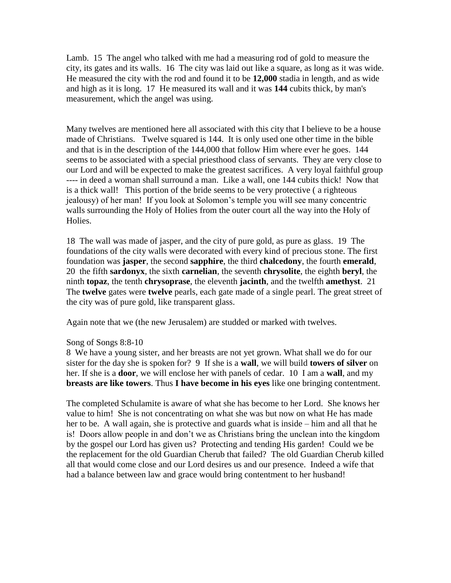Lamb. 15 The angel who talked with me had a measuring rod of gold to measure the city, its gates and its walls. 16 The city was laid out like a square, as long as it was wide. He measured the city with the rod and found it to be **12,000** stadia in length, and as wide and high as it is long. 17 He measured its wall and it was **144** cubits thick, by man's measurement, which the angel was using.

Many twelves are mentioned here all associated with this city that I believe to be a house made of Christians. Twelve squared is 144. It is only used one other time in the bible and that is in the description of the 144,000 that follow Him where ever he goes. 144 seems to be associated with a special priesthood class of servants. They are very close to our Lord and will be expected to make the greatest sacrifices. A very loyal faithful group ---- in deed a woman shall surround a man. Like a wall, one 144 cubits thick! Now that is a thick wall! This portion of the bride seems to be very protective ( a righteous jealousy) of her man! If you look at Solomon's temple you will see many concentric walls surrounding the Holy of Holies from the outer court all the way into the Holy of Holies.

18 The wall was made of jasper, and the city of pure gold, as pure as glass. 19 The foundations of the city walls were decorated with every kind of precious stone. The first foundation was **jasper**, the second **sapphire**, the third **chalcedony**, the fourth **emerald**, 20 the fifth **sardonyx**, the sixth **carnelian**, the seventh **chrysolite**, the eighth **beryl**, the ninth **topaz**, the tenth **chrysoprase**, the eleventh **jacinth**, and the twelfth **amethyst**. 21 The **twelve** gates were **twelve** pearls, each gate made of a single pearl. The great street of the city was of pure gold, like transparent glass.

Again note that we (the new Jerusalem) are studded or marked with twelves.

#### Song of Songs 8:8-10

8 We have a young sister, and her breasts are not yet grown. What shall we do for our sister for the day she is spoken for? 9 If she is a **wall**, we will build **towers of silver** on her. If she is a **door**, we will enclose her with panels of cedar. 10 I am a **wall**, and my **breasts are like towers**. Thus **I have become in his eyes** like one bringing contentment.

The completed Schulamite is aware of what she has become to her Lord. She knows her value to him! She is not concentrating on what she was but now on what He has made her to be. A wall again, she is protective and guards what is inside – him and all that he is! Doors allow people in and don't we as Christians bring the unclean into the kingdom by the gospel our Lord has given us? Protecting and tending His garden! Could we be the replacement for the old Guardian Cherub that failed? The old Guardian Cherub killed all that would come close and our Lord desires us and our presence. Indeed a wife that had a balance between law and grace would bring contentment to her husband!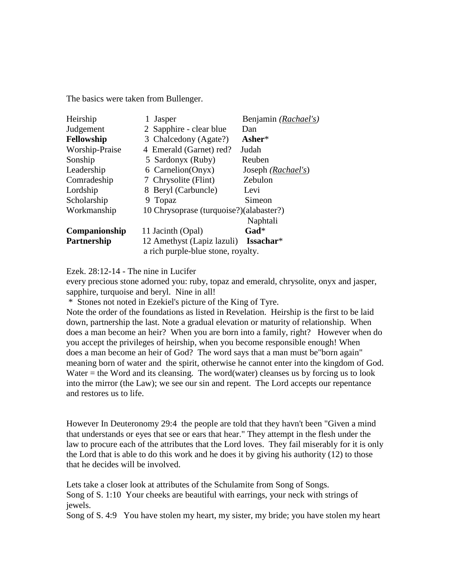The basics were taken from Bullenger.

| Jasper                                                                                              | Benjamin (Rachael's) |  |  |  |
|-----------------------------------------------------------------------------------------------------|----------------------|--|--|--|
| 2 Sapphire - clear blue                                                                             | Dan                  |  |  |  |
| 3 Chalcedony (Agate?)                                                                               | Asher $*$            |  |  |  |
| 4 Emerald (Garnet) red?                                                                             | Judah                |  |  |  |
| 5 Sardonyx (Ruby)                                                                                   | Reuben               |  |  |  |
| 6 Carnelion(Onyx)                                                                                   | Joseph (Rachael's)   |  |  |  |
| 7 Chrysolite (Flint)                                                                                | Zebulon              |  |  |  |
| 8 Beryl (Carbuncle)                                                                                 | Levi                 |  |  |  |
| Topaz<br>9                                                                                          | Simeon               |  |  |  |
| 10 Chrysoprase (turquoise?)(alabaster?)                                                             |                      |  |  |  |
|                                                                                                     | Naphtali             |  |  |  |
| 11 Jacinth (Opal)                                                                                   | $\mathbf{Gad}^*$     |  |  |  |
| 12 Amethyst (Lapiz lazuli)<br>Issachar*<br><b>Partnership</b><br>a rich purple-blue stone, royalty. |                      |  |  |  |
|                                                                                                     |                      |  |  |  |

Ezek. 28:12-14 - The nine in Lucifer

every precious stone adorned you: ruby, topaz and emerald, chrysolite, onyx and jasper, sapphire, turquoise and beryl. Nine in all!

\* Stones not noted in Ezekiel's picture of the King of Tyre.

Note the order of the foundations as listed in Revelation. Heirship is the first to be laid down, partnership the last. Note a gradual elevation or maturity of relationship. When does a man become an heir? When you are born into a family, right? However when do you accept the privileges of heirship, when you become responsible enough! When does a man become an heir of God? The word says that a man must be"born again" meaning born of water and the spirit, otherwise he cannot enter into the kingdom of God. Water  $=$  the Word and its cleansing. The word(water) cleanses us by forcing us to look into the mirror (the Law); we see our sin and repent. The Lord accepts our repentance and restores us to life.

However In Deuteronomy 29:4 the people are told that they havn't been "Given a mind that understands or eyes that see or ears that hear." They attempt in the flesh under the law to procure each of the attributes that the Lord loves. They fail miserably for it is only the Lord that is able to do this work and he does it by giving his authority (12) to those that he decides will be involved.

Lets take a closer look at attributes of the Schulamite from Song of Songs. Song of S. 1:10 Your cheeks are beautiful with earrings, your neck with strings of jewels.

Song of S. 4:9 You have stolen my heart, my sister, my bride; you have stolen my heart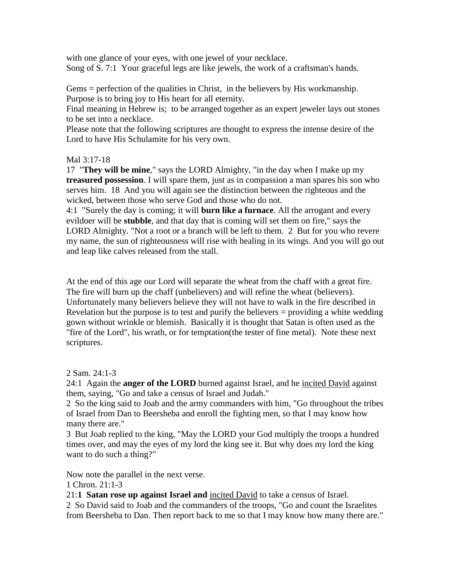with one glance of your eyes, with one jewel of your necklace. Song of S. 7:1 Your graceful legs are like jewels, the work of a craftsman's hands.

Gems = perfection of the qualities in Christ, in the believers by His workmanship. Purpose is to bring joy to His heart for all eternity.

Final meaning in Hebrew is; to be arranged together as an expert jeweler lays out stones to be set into a necklace.

Please note that the following scriptures are thought to express the intense desire of the Lord to have His Schulamite for his very own.

# Mal 3:17-18

17 "**They will be mine**," says the LORD Almighty, "in the day when I make up my **treasured possession**. I will spare them, just as in compassion a man spares his son who serves him. 18 And you will again see the distinction between the righteous and the wicked, between those who serve God and those who do not.

4:1 "Surely the day is coming; it will **burn like a furnace**. All the arrogant and every evildoer will be **stubble**, and that day that is coming will set them on fire," says the LORD Almighty. "Not a root or a branch will be left to them. 2 But for you who revere my name, the sun of righteousness will rise with healing in its wings. And you will go out and leap like calves released from the stall.

At the end of this age our Lord will separate the wheat from the chaff with a great fire. The fire will burn up the chaff (unbelievers) and will refine the wheat (believers). Unfortunately many believers believe they will not have to walk in the fire described in Revelation but the purpose is to test and purify the believers = providing a white wedding gown without wrinkle or blemish. Basically it is thought that Satan is often used as the "fire of the Lord", his wrath, or for temptation(the tester of fine metal). Note these next scriptures.

2 Sam. 24:1-3

24:1 Again the **anger of the LORD** burned against Israel, and he incited David against them, saying, "Go and take a census of Israel and Judah."

2 So the king said to Joab and the army commanders with him, "Go throughout the tribes of Israel from Dan to Beersheba and enroll the fighting men, so that I may know how many there are."

3 But Joab replied to the king, "May the LORD your God multiply the troops a hundred times over, and may the eyes of my lord the king see it. But why does my lord the king want to do such a thing?"

Now note the parallel in the next verse.

1 Chron. 21:1-3

21:**1 Satan rose up against Israel and** incited David to take a census of Israel.

2 So David said to Joab and the commanders of the troops, "Go and count the Israelites from Beersheba to Dan. Then report back to me so that I may know how many there are."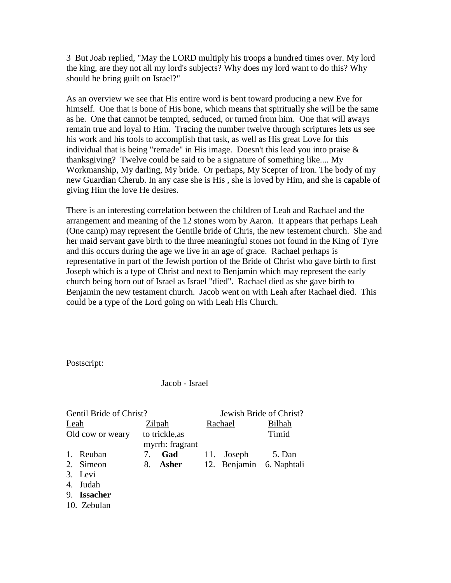3 But Joab replied, "May the LORD multiply his troops a hundred times over. My lord the king, are they not all my lord's subjects? Why does my lord want to do this? Why should he bring guilt on Israel?"

As an overview we see that His entire word is bent toward producing a new Eve for himself. One that is bone of His bone, which means that spiritually she will be the same as he. One that cannot be tempted, seduced, or turned from him. One that will aways remain true and loyal to Him. Tracing the number twelve through scriptures lets us see his work and his tools to accomplish that task, as well as His great Love for this individual that is being "remade" in His image. Doesn't this lead you into praise & thanksgiving? Twelve could be said to be a signature of something like.... My Workmanship, My darling, My bride. Or perhaps, My Scepter of Iron. The body of my new Guardian Cherub. In any case she is His , she is loved by Him, and she is capable of giving Him the love He desires.

There is an interesting correlation between the children of Leah and Rachael and the arrangement and meaning of the 12 stones worn by Aaron. It appears that perhaps Leah (One camp) may represent the Gentile bride of Chris, the new testement church. She and her maid servant gave birth to the three meaningful stones not found in the King of Tyre and this occurs during the age we live in an age of grace. Rachael perhaps is representative in part of the Jewish portion of the Bride of Christ who gave birth to first Joseph which is a type of Christ and next to Benjamin which may represent the early church being born out of Israel as Israel "died". Rachael died as she gave birth to Benjamin the new testament church. Jacob went on with Leah after Rachael died. This could be a type of the Lord going on with Leah His Church.

Postscript:

Jacob - Israel

| Gentil Bride of Christ? |                  |    | Jewish Bride of Christ? |  |            |                          |
|-------------------------|------------------|----|-------------------------|--|------------|--------------------------|
| Leah                    |                  |    | Zilpah                  |  | Rachael    | <b>Bilhah</b>            |
|                         | Old cow or weary |    | to trickle, as          |  |            | Timid                    |
|                         |                  |    | myrrh: fragrant         |  |            |                          |
| $\mathbf{1}$ .          | Reuban           | 7. | Gad                     |  | 11. Joseph | 5. Dan                   |
|                         | 2. Simeon        | 8. | Asher                   |  |            | 12. Benjamin 6. Naphtali |
|                         | 3. Levi          |    |                         |  |            |                          |
| 4.                      | Judah            |    |                         |  |            |                          |
| 9.                      | <b>Issacher</b>  |    |                         |  |            |                          |
|                         | 10. Zebulan      |    |                         |  |            |                          |